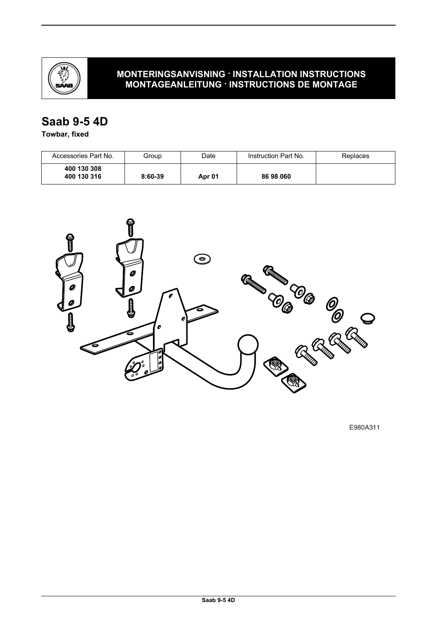

# **MONTERINGSANVISNING · INSTALLATION INSTRUCTIONS MONTAGEANLEITUNG · INSTRUCTIONS DE MONTAGE**

# **Saab 9-5 4D**

**Towbar, fixed**

| Accessories Part No.       | Group     | Date   | Instruction Part No. | Replaces |
|----------------------------|-----------|--------|----------------------|----------|
| 400 130 308<br>400 130 316 | $8:60-39$ | Apr 01 | 86 98 060            |          |



E980A311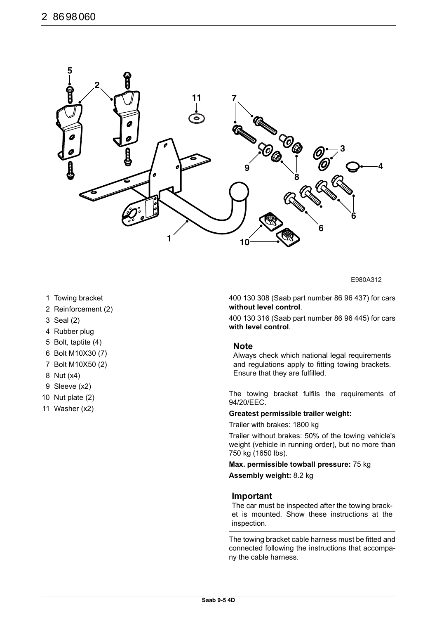

E980A312

- 1 Towing bracket
- 2 Reinforcement (2)
- 3 Seal (2)
- 4 Rubber plug
- 5 Bolt, taptite (4)
- 6 Bolt M10X30 (7)
- 7 Bolt M10X50 (2)
- 8 Nut (x4)
- 9 Sleeve (x2)
- 10 Nut plate (2)
- 11 Washer (x2)

400 130 308 (Saab part number 86 96 437) for cars **without level control**.

400 130 316 (Saab part number 86 96 445) for cars **with level control**.

#### **Note**

Always check which national legal requirements and regulations apply to fitting towing brackets. Ensure that they are fulfilled.

The towing bracket fulfils the requirements of 94/20/EEC.

### **Greatest permissible trailer weight:**

Trailer with brakes: 1800 kg

Trailer without brakes: 50% of the towing vehicle's weight (vehicle in running order), but no more than 750 kg (1650 lbs).

**Max. permissible towball pressure:** 75 kg

**Assembly weight:** 8.2 kg

### **Important**

The car must be inspected after the towing bracket is mounted. Show these instructions at the inspection.

The towing bracket cable harness must be fitted and connected following the instructions that accompany the cable harness.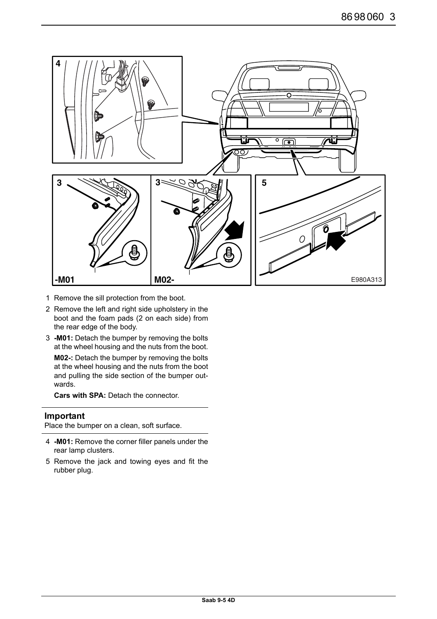

- 1 Remove the sill protection from the boot.
- 2 Remove the left and right side upholstery in the boot and the foam pads (2 on each side) from the rear edge of the body.
- 3 **-M01:** Detach the bumper by removing the bolts at the wheel housing and the nuts from the boot.

**M02-:** Detach the bumper by removing the bolts at the wheel housing and the nuts from the boot and pulling the side section of the bumper outwards.

**Cars with SPA:** Detach the connector.

# **Important**

Place the bumper on a clean, soft surface.

- 4 **-M01:** Remove the corner filler panels under the rear lamp clusters.
- 5 Remove the jack and towing eyes and fit the rubber plug.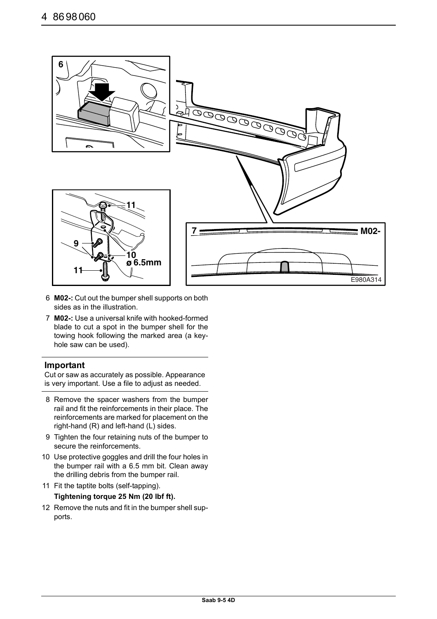

- 6 **M02-:** Cut out the bumper shell supports on both sides as in the illustration.
- 7 **M02-:** Use a universal knife with hooked-formed blade to cut a spot in the bumper shell for the towing hook following the marked area (a keyhole saw can be used).

# **Important**

Cut or saw as accurately as possible. Appearance is very important. Use a file to adjust as needed.

- 8 Remove the spacer washers from the bumper rail and fit the reinforcements in their place. The reinforcements are marked for placement on the right-hand (R) and left-hand (L) sides.
- 9 Tighten the four retaining nuts of the bumper to secure the reinforcements.
- 10 Use protective goggles and drill the four holes in the bumper rail with a 6.5 mm bit. Clean away the drilling debris from the bumper rail.
- 11 Fit the taptite bolts (self-tapping). **Tightening torque 25 Nm (20 lbf ft).**

# 12 Remove the nuts and fit in the bumper shell supports.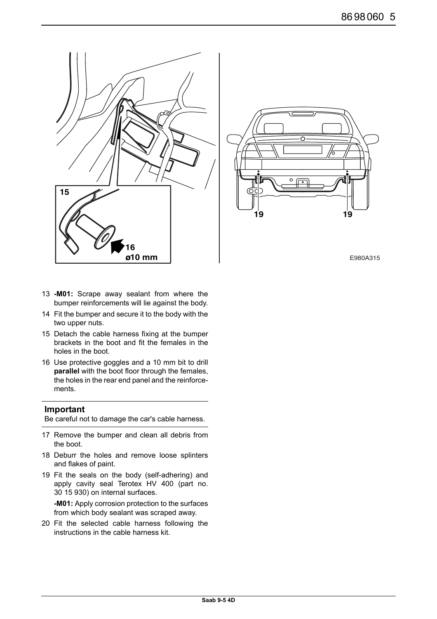



- 13 **-M01:** Scrape away sealant from where the bumper reinforcements will lie against the body.
- 14 Fit the bumper and secure it to the body with the two upper nuts.
- 15 Detach the cable harness fixing at the bumper brackets in the boot and fit the females in the holes in the boot.
- 16 Use protective goggles and a 10 mm bit to drill **parallel** with the boot floor through the females, the holes in the rear end panel and the reinforcements.

### **Important**

Be careful not to damage the car's cable harness.

- 17 Remove the bumper and clean all debris from the boot.
- 18 Deburr the holes and remove loose splinters and flakes of paint.
- 19 Fit the seals on the body (self-adhering) and apply cavity seal Terotex HV 400 (part no. 30 15 930) on internal surfaces.

**-M01:** Apply corrosion protection to the surfaces from which body sealant was scraped away.

20 Fit the selected cable harness following the instructions in the cable harness kit.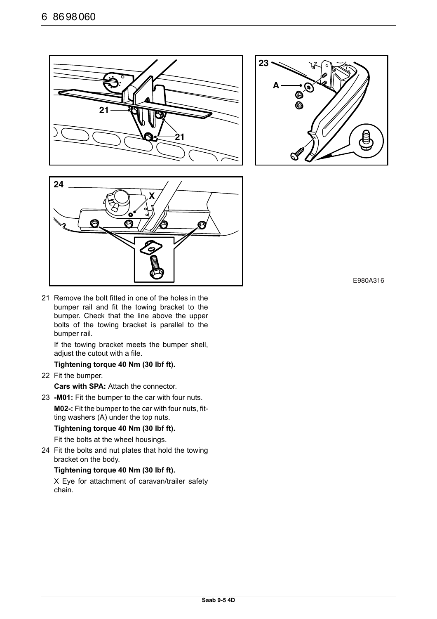





21 Remove the bolt fitted in one of the holes in the bumper rail and fit the towing bracket to the bumper. Check that the line above the upper bolts of the towing bracket is parallel to the bumper rail.

If the towing bracket meets the bumper shell, adjust the cutout with a file.

# **Tightening torque 40 Nm (30 lbf ft).**

22 Fit the bumper.

**Cars with SPA:** Attach the connector.

23 **-M01:** Fit the bumper to the car with four nuts. **M02-:** Fit the bumper to the car with four nuts, fitting washers (A) under the top nuts.

# **Tightening torque 40 Nm (30 lbf ft).**

Fit the bolts at the wheel housings.

24 Fit the bolts and nut plates that hold the towing bracket on the body.

### **Tightening torque 40 Nm (30 lbf ft).**

X Eye for attachment of caravan/trailer safety chain.

E980A316